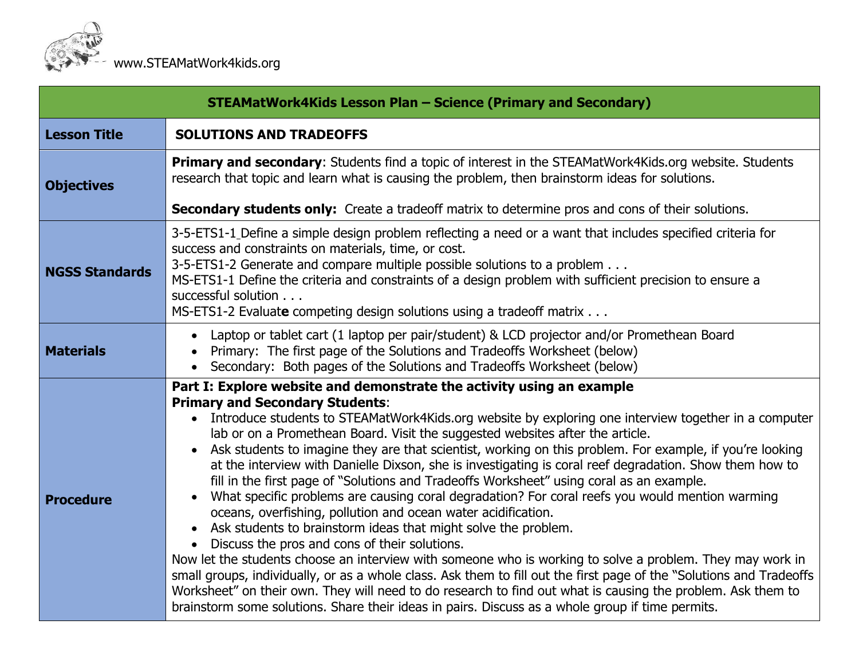

| <b>STEAMatWork4Kids Lesson Plan - Science (Primary and Secondary)</b> |                                                                                                                                                                                                                                                                                                                                                                                                                                                                                                                                                                                                                                                                                                                                                                                                                                                                                                                                                                                                                                                                                                                                                                                                                                                                                                                                                                              |  |  |  |  |
|-----------------------------------------------------------------------|------------------------------------------------------------------------------------------------------------------------------------------------------------------------------------------------------------------------------------------------------------------------------------------------------------------------------------------------------------------------------------------------------------------------------------------------------------------------------------------------------------------------------------------------------------------------------------------------------------------------------------------------------------------------------------------------------------------------------------------------------------------------------------------------------------------------------------------------------------------------------------------------------------------------------------------------------------------------------------------------------------------------------------------------------------------------------------------------------------------------------------------------------------------------------------------------------------------------------------------------------------------------------------------------------------------------------------------------------------------------------|--|--|--|--|
| <b>Lesson Title</b>                                                   | <b>SOLUTIONS AND TRADEOFFS</b>                                                                                                                                                                                                                                                                                                                                                                                                                                                                                                                                                                                                                                                                                                                                                                                                                                                                                                                                                                                                                                                                                                                                                                                                                                                                                                                                               |  |  |  |  |
| <b>Objectives</b>                                                     | <b>Primary and secondary:</b> Students find a topic of interest in the STEAMatWork4Kids.org website. Students<br>research that topic and learn what is causing the problem, then brainstorm ideas for solutions.                                                                                                                                                                                                                                                                                                                                                                                                                                                                                                                                                                                                                                                                                                                                                                                                                                                                                                                                                                                                                                                                                                                                                             |  |  |  |  |
|                                                                       | Secondary students only: Create a tradeoff matrix to determine pros and cons of their solutions.                                                                                                                                                                                                                                                                                                                                                                                                                                                                                                                                                                                                                                                                                                                                                                                                                                                                                                                                                                                                                                                                                                                                                                                                                                                                             |  |  |  |  |
| <b>NGSS Standards</b>                                                 | 3-5-ETS1-1 Define a simple design problem reflecting a need or a want that includes specified criteria for<br>success and constraints on materials, time, or cost.<br>3-5-ETS1-2 Generate and compare multiple possible solutions to a problem<br>MS-ETS1-1 Define the criteria and constraints of a design problem with sufficient precision to ensure a<br>successful solution<br>MS-ETS1-2 Evaluate competing design solutions using a tradeoff matrix                                                                                                                                                                                                                                                                                                                                                                                                                                                                                                                                                                                                                                                                                                                                                                                                                                                                                                                    |  |  |  |  |
| <b>Materials</b>                                                      | Laptop or tablet cart (1 laptop per pair/student) & LCD projector and/or Promethean Board<br>Primary: The first page of the Solutions and Tradeoffs Worksheet (below)<br>Secondary: Both pages of the Solutions and Tradeoffs Worksheet (below)                                                                                                                                                                                                                                                                                                                                                                                                                                                                                                                                                                                                                                                                                                                                                                                                                                                                                                                                                                                                                                                                                                                              |  |  |  |  |
| <b>Procedure</b>                                                      | Part I: Explore website and demonstrate the activity using an example<br><b>Primary and Secondary Students:</b><br>• Introduce students to STEAMatWork4Kids.org website by exploring one interview together in a computer<br>lab or on a Promethean Board. Visit the suggested websites after the article.<br>Ask students to imagine they are that scientist, working on this problem. For example, if you're looking<br>at the interview with Danielle Dixson, she is investigating is coral reef degradation. Show them how to<br>fill in the first page of "Solutions and Tradeoffs Worksheet" using coral as an example.<br>What specific problems are causing coral degradation? For coral reefs you would mention warming<br>oceans, overfishing, pollution and ocean water acidification.<br>Ask students to brainstorm ideas that might solve the problem.<br>Discuss the pros and cons of their solutions.<br>Now let the students choose an interview with someone who is working to solve a problem. They may work in<br>small groups, individually, or as a whole class. Ask them to fill out the first page of the "Solutions and Tradeoffs<br>Worksheet" on their own. They will need to do research to find out what is causing the problem. Ask them to<br>brainstorm some solutions. Share their ideas in pairs. Discuss as a whole group if time permits. |  |  |  |  |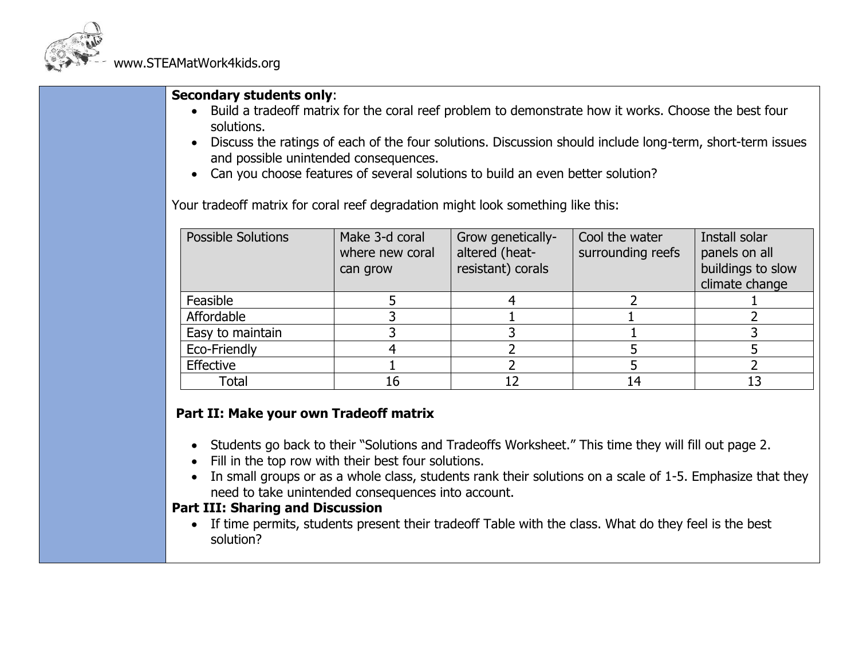

#### **Secondary students only**:

- Build a tradeoff matrix for the coral reef problem to demonstrate how it works. Choose the best four solutions.
- Discuss the ratings of each of the four solutions. Discussion should include long-term, short-term issues and possible unintended consequences.
- Can you choose features of several solutions to build an even better solution?

Your tradeoff matrix for coral reef degradation might look something like this:

| <b>Possible Solutions</b> | Make 3-d coral<br>where new coral<br>can grow | Grow genetically-<br>altered (heat-<br>resistant) corals | Cool the water<br>surrounding reefs | Install solar<br>panels on all<br>buildings to slow<br>climate change |
|---------------------------|-----------------------------------------------|----------------------------------------------------------|-------------------------------------|-----------------------------------------------------------------------|
| Feasible                  |                                               |                                                          |                                     |                                                                       |
| Affordable                |                                               |                                                          |                                     |                                                                       |
| Easy to maintain          |                                               |                                                          |                                     |                                                                       |
| Eco-Friendly              |                                               |                                                          |                                     |                                                                       |
| Effective                 |                                               |                                                          |                                     |                                                                       |
| Total                     | 16                                            |                                                          | 14                                  |                                                                       |

### **Part II: Make your own Tradeoff matrix**

- Students go back to their "Solutions and Tradeoffs Worksheet." This time they will fill out page 2.
- Fill in the top row with their best four solutions.
- In small groups or as a whole class, students rank their solutions on a scale of 1-5. Emphasize that they need to take unintended consequences into account.

### **Part III: Sharing and Discussion**

• If time permits, students present their tradeoff Table with the class. What do they feel is the best solution?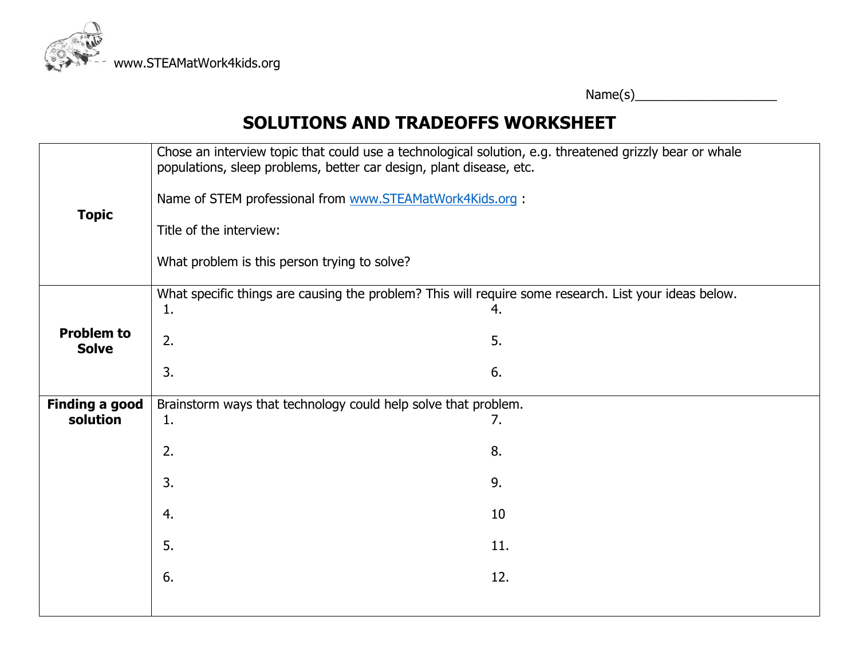

# **SOLUTIONS AND TRADEOFFS WORKSHEET**

| <b>Topic</b>                      | Chose an interview topic that could use a technological solution, e.g. threatened grizzly bear or whale<br>populations, sleep problems, better car design, plant disease, etc.<br>Name of STEM professional from www.STEAMatWork4Kids.org :<br>Title of the interview:<br>What problem is this person trying to solve? |          |  |  |  |
|-----------------------------------|------------------------------------------------------------------------------------------------------------------------------------------------------------------------------------------------------------------------------------------------------------------------------------------------------------------------|----------|--|--|--|
| <b>Problem to</b>                 | What specific things are causing the problem? This will require some research. List your ideas below.<br>1.<br>2.                                                                                                                                                                                                      | 4.<br>5. |  |  |  |
| <b>Solve</b>                      | 3.                                                                                                                                                                                                                                                                                                                     | 6.       |  |  |  |
| <b>Finding a good</b><br>solution | Brainstorm ways that technology could help solve that problem.<br>7.<br>1.                                                                                                                                                                                                                                             |          |  |  |  |
|                                   | 2.                                                                                                                                                                                                                                                                                                                     | 8.       |  |  |  |
|                                   | 3.                                                                                                                                                                                                                                                                                                                     | 9.       |  |  |  |
|                                   | 4.                                                                                                                                                                                                                                                                                                                     | 10       |  |  |  |
|                                   | 5.                                                                                                                                                                                                                                                                                                                     | 11.      |  |  |  |
|                                   | 6.                                                                                                                                                                                                                                                                                                                     | 12.      |  |  |  |
|                                   |                                                                                                                                                                                                                                                                                                                        |          |  |  |  |